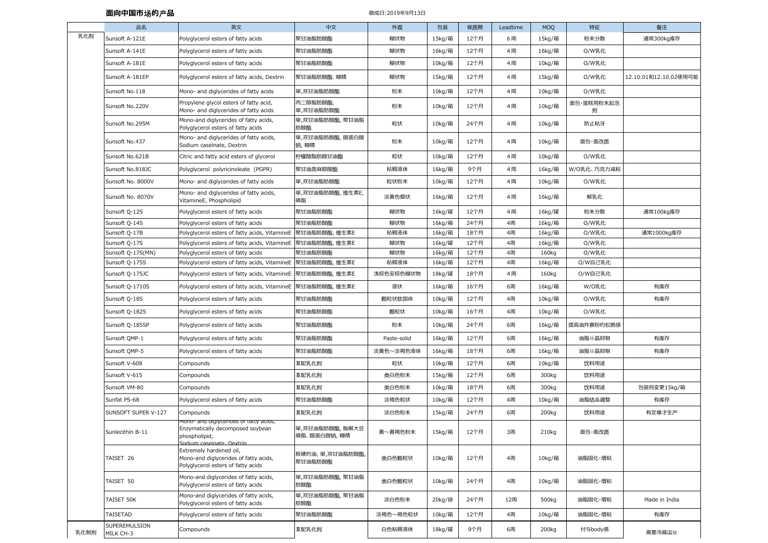## **面向中国市**场**的**产**品**

## 做成⽇:2019年9月13⽇

|      | 品名                         | 英文                                                                                                                      | 中文                            | 外观          | 包装     | 保质期  | Leadtime | <b>MOQ</b> | 特征              | 备注                    |
|------|----------------------------|-------------------------------------------------------------------------------------------------------------------------|-------------------------------|-------------|--------|------|----------|------------|-----------------|-----------------------|
| 乳化剂  | Sunsoft A-121E             | Polyglycerol esters of fatty acids                                                                                      | 聚甘油脂肪酸酯                       | 糊状物         | 15kg/箱 | 12个月 | 6周       | 15kg/箱     | 粉末分散            | 通常300kg库存             |
|      | Sunsoft A-141E             | Polyglycerol esters of fatty acids                                                                                      | 聚甘油脂肪酸酯                       | 糊状物         | 16kg/箱 | 12个月 | 4周       | 16kg/箱     | O/W乳化           |                       |
|      | Sunsoft A-181E             | Polyglycerol esters of fatty acids                                                                                      | 聚甘油脂肪酸酯                       | 糊状物         | 10kg/箱 | 12个月 | 4周       | 10kg/箱     | O/W乳化           |                       |
|      | Sunsoft A-181EP            | Polyglycerol esters of fatty acids, Dextrin                                                                             | 聚甘油脂肪酸酯,糊精                    | 糊状物         | 15kg/箱 | 12个月 | 4周       | 15kg/箱     | O/W乳化           | 12.10.01和12.10.02使用可能 |
|      | Sunsoft No.118             | Mono- and diglycerides of fatty acids                                                                                   | 単,双甘油脂肪酸酯                     | 粉末          | 10kg/箱 | 12个月 | 4周       | 10kg/箱     | O/W乳化           |                       |
|      | Sunsoft No.220V            | Propylene glycol esters of fatty acid,<br>Mono- and diglycerides of fatty acids                                         | 丙二醇脂肪酸酯,<br>単,双甘油脂肪酸酯         | 粉末          | 10kg/箱 | 12个月 | 4周       | 10kg/箱     | 面包·蛋糕用粉末起泡<br>剂 |                       |
|      | Sunsoft No.295M            | Mono-and diglycerides of fatty acids,<br>Polyglycerol esters of fatty acids                                             | 単,双甘油脂肪酸酯, 聚甘油脂<br>肪酸酯        | 粒状          | 10kg/箱 | 24个月 | 4周       | 10kg/箱     | 防止粘牙            |                       |
|      | Sunsoft No.437             | Mono- and diglycerides of fatty acids,<br>Sodium caseinate, Dextrin                                                     | 単,双甘油脂肪酸酯,酪蛋白酸<br>钠, 糊精       | 粉末          | 10kg/箱 | 12个月 | 4周       | 10kg/箱     | 面包・面改质          |                       |
|      | Sunsoft No.621B            | Citric and fatty acid esters of glycerol                                                                                | 柠檬酸脂肪酸甘油酯                     | 粒状          | 10kg/箱 | 12个月 | 4周       | 10kg/箱     | O/W乳化           |                       |
|      | Sunsoft No.818JC           | Polyglycerol polyricinoleate (PGPR)                                                                                     | 聚甘油蓖麻醇酸酯                      | 粘稠液体        | 16kg/箱 | 9个月  | 4周       | 16kg/箱     | W/O乳化、巧克力减粘     |                       |
|      | Sunsoft No. 8000V          | Mono- and diglycerides of fatty acids                                                                                   | 単,双甘油脂肪酸酯                     | 粒状粉末        | 10kg/箱 | 12个月 | 4周       | 10kg/箱     | O/W乳化           |                       |
|      | Sunsoft No. 8070V          | Mono- and diglycerides of fatty acids,<br>VitamineE, Phospholipid                                                       | 単,双甘油脂肪酸酯,维生素E,<br>磷脂         | 淡黄色蜡状       | 16kg/箱 | 12个月 | 4周       | 16kg/箱     | 解乳化             |                       |
|      | Sunsoft Q-12S              | Polyglycerol esters of fatty acids                                                                                      | 聚甘油脂肪酸酯                       | 糊状物         | 16kg/罐 | 12个月 | 4周       | 16kg/罐     | 粉末分散            | 通常100kg库存             |
|      | Sunsoft Q-14S              | Polyglycerol esters of fatty acids                                                                                      | 聚甘油脂肪酸酯                       | 糊状物         | 16kg/箱 | 24个月 | 4周       | 16kg/箱     | O/W乳化           |                       |
|      | Sunsoft Q-17B              | Polyglycerol esters of fatty acids, VitamineE                                                                           | 聚甘油脂肪酸酯,维生素E                  | 粘稠液体        | 16kg/箱 | 18个月 | 4周       | 16kg/箱     | O/W乳化           | 通常1000kg库存            |
|      | Sunsoft Q-17S              | Polyglycerol esters of fatty acids, VitamineE                                                                           | 聚甘油脂肪酸酯,维生素E                  | 糊状物         | 16kg/罐 | 12个月 | 4周       | 16kg/箱     | O/W乳化           |                       |
|      | Sunsoft Q-17S(MN)          | Polyglycerol esters of fatty acids                                                                                      | 聚甘油脂肪酸酯                       | 糊状物         | 16kg/箱 | 12个月 | 4周       | 160kg      | O/W乳化           |                       |
|      | Sunsoft Q-175S             | Polyglycerol esters of fatty acids, VitamineE                                                                           | 聚甘油脂肪酸酯,维生素E                  | 粘稠液体        | 16kg/箱 | 12个月 | 4周       | 16kg/箱     | O/W自己乳化         |                       |
|      | Sunsoft Q-175JC            | Polyglycerol esters of fatty acids, VitamineE                                                                           | 聚甘油脂肪酸酯,维生素E                  | 浅棕色至棕色糊状物   | 18kg/罐 | 18个月 | 4周       | 160kg      | O/W自己乳化         |                       |
|      | Sunsoft Q-1710S            | Polyglycerol esters of fatty acids, VitamineE                                                                           | 聚甘油脂肪酸酯,维生素E                  | 液状          | 16kg/箱 | 16个月 | 6周       | 16kg/箱     | W/O乳化           | 有库存                   |
|      | Sunsoft Q-18S              | Polyglycerol esters of fatty acids                                                                                      | 聚甘油脂肪酸酯                       | 颗粒状软固体      | 10kg/箱 | 12个月 | 4周       | 10kg/箱     | O/W乳化           | 有库存                   |
|      | Sunsoft Q-182S             | Polyglycerol esters of fatty acids                                                                                      | 聚甘油脂肪酸酯                       | 颗粒状         | 10kg/箱 | 16个月 | 4周       | 10kg/箱     | O/W乳化           |                       |
|      | Sunsoft Q-185SP            | Polyglycerol esters of fatty acids                                                                                      | 聚甘油脂肪酸酯                       | 粉末          | 10kg/箱 | 24个月 | 6周       | 16kg/箱     | 提高油炸裹粉的松脆感      |                       |
|      | Sunsoft QMP-1              | Polyglycerol esters of fatty acids                                                                                      | 聚甘油脂肪酸酯                       | Paste-solid | 16kg/箱 | 12个月 | 6周       | 16kg/箱     | 油脂结晶抑制          | 有库存                   |
|      | Sunsoft QMP-5              | Polyglycerol esters of fatty acids                                                                                      | 聚甘油脂肪酸酯                       | 淡黄色~淡褐色液体   | 16kg/箱 | 18个月 | 6周       | 16kg/箱     | 油脂结晶抑制          | 有库存                   |
|      | Sunsoft V-608              | Compounds                                                                                                               | 复配乳化剂                         | 粒状          | 10kg/箱 | 12个月 | 6周       | 10kg/箱     | 饮料用途            |                       |
|      | Sunsoft V-615              | Compounds                                                                                                               | 复配乳化剂                         | 类白色粉末       | 15kg/箱 | 12个月 | 6周       | 300kg      | 饮料用途            |                       |
|      | Sunsoft VM-80              | Compounds                                                                                                               | 复配乳化剂                         | 类白色粉末       | 10kg/箱 | 18个月 | 6周       | 300kg      | 饮料用途            | 包装将変更15kg/箱           |
|      | Sunfat PS-68               | Polyglycerol esters of fatty acids                                                                                      | 聚甘油脂肪酸酯                       | 淡褐色粒状       | 10kg/箱 | 12个月 | 4周       | 10kg/箱     | 油脂结晶调整          | 有库存                   |
|      | SUNSOFT SUPER V-127        | Compounds                                                                                                               | 复配乳化剂                         | 淡白色粉末       | 15kg/箱 | 24个月 | 6周       | 200kg      | 饮料用途            | 有定单才生产                |
|      | Sunlecithin B-11           | Mono- and diglycerides of fatty acids,<br>Enzymatically decomposed soybean<br>phospholipid,<br>Sodium caseinate Dextrin | 単,双甘油脂肪酸酯,酶解大豆<br>磷脂.酪蛋白酸钠,糊精 | 黄~黄褐色粉末     | 15kg/箱 | 12个月 | 3周       | 210kg      | 面包・面改质          |                       |
|      | TAISET 26                  | Extremely hardened oil,<br>Mono-and diglycerides of fatty acids,<br>Polyglycerol esters of fatty acids                  | 极硬的油, 単,双甘油脂肪酸酯,<br>聚甘油脂肪酸酯   | 类白色颗粒状      | 10kg/箱 | 12个月 | 4周       | 10kg/箱     | 油脂固化・増粘         |                       |
|      | TAISET 50                  | Mono-and diglycerides of fatty acids,<br>Polyglycerol esters of fatty acids                                             | 単,双甘油脂肪酸酯,聚甘油脂<br>肪酸酯         | 类白色颗粒状      | 10kg/箱 | 24个月 | 4周       | 10kg/箱     | 油脂固化・増粘         |                       |
|      | TAISET 50K                 | Mono-and diglycerides of fatty acids,<br>Polyglycerol esters of fatty acids                                             | 単,双甘油脂肪酸酯,聚甘油脂<br>肪酸酯         | 淡白色粉末       | 20kg/袋 | 24个月 | 12周      | 500kg      | 油脂固化・増粘         | Made in India         |
|      | TAISETAD                   | Polyglycerol esters of fatty acids                                                                                      | 聚甘油脂肪酸酯                       | 淡褐色~褐色粒状    | 10kg/箱 | 12个月 | 4周       | 10kg/箱     | 油脂固化・増粘         | 有库存                   |
| 乳化制剂 | SUPEREMULSION<br>MILK CH-3 | Compounds                                                                                                               | 复配乳化剂                         | 白色粘稠液体      | 18kg/罐 | 9个月  | 6周       | 200kg      | 付与body感         | 需要冷藏运输                |